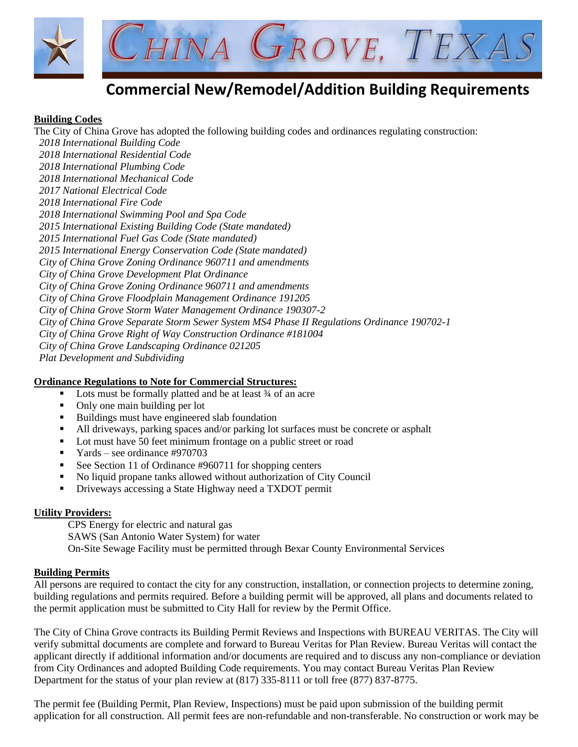

# **Commercial New/Remodel/Addition Building Requirements**

#### **Building Codes**

The City of China Grove has adopted the following building codes and ordinances regulating construction: *2018 International Building Code 2018 International Residential Code 2018 International Plumbing Code 2018 International Mechanical Code 2017 National Electrical Code 2018 International Fire Code 2018 International Swimming Pool and Spa Code 2015 International Existing Building Code (State mandated) 2015 International Fuel Gas Code (State mandated) 2015 International Energy Conservation Code (State mandated) City of China Grove Zoning Ordinance 960711 and amendments City of China Grove Development Plat Ordinance City of China Grove Zoning Ordinance 960711 and amendments City of China Grove Floodplain Management Ordinance 191205 City of China Grove Storm Water Management Ordinance 190307-2 City of China Grove Separate Storm Sewer System MS4 Phase II Regulations Ordinance 190702-1 City of China Grove Right of Way Construction Ordinance #181004 City of China Grove Landscaping Ordinance 021205 Plat Development and Subdividing*

#### **Ordinance Regulations to Note for Commercial Structures:**

- Lots must be formally platted and be at least  $\frac{3}{4}$  of an acre
- Only one main building per lot
- Buildings must have engineered slab foundation
- All driveways, parking spaces and/or parking lot surfaces must be concrete or asphalt
- Lot must have 50 feet minimum frontage on a public street or road
- Yards see ordinance #970703
- See Section 11 of Ordinance #960711 for shopping centers
- No liquid propane tanks allowed without authorization of City Council
- **•** Driveways accessing a State Highway need a TXDOT permit

#### **Utility Providers:**

CPS Energy for electric and natural gas SAWS (San Antonio Water System) for water On-Site Sewage Facility must be permitted through Bexar County Environmental Services

#### **Building Permits**

All persons are required to contact the city for any construction, installation, or connection projects to determine zoning, building regulations and permits required. Before a building permit will be approved, all plans and documents related to the permit application must be submitted to City Hall for review by the Permit Office.

The City of China Grove contracts its Building Permit Reviews and Inspections with BUREAU VERITAS. The City will verify submittal documents are complete and forward to Bureau Veritas for Plan Review. Bureau Veritas will contact the applicant directly if additional information and/or documents are required and to discuss any non-compliance or deviation from City Ordinances and adopted Building Code requirements. You may contact Bureau Veritas Plan Review Department for the status of your plan review at (817) 335-8111 or toll free (877) 837-8775.

The permit fee (Building Permit, Plan Review, Inspections) must be paid upon submission of the building permit application for all construction. All permit fees are non-refundable and non-transferable. No construction or work may be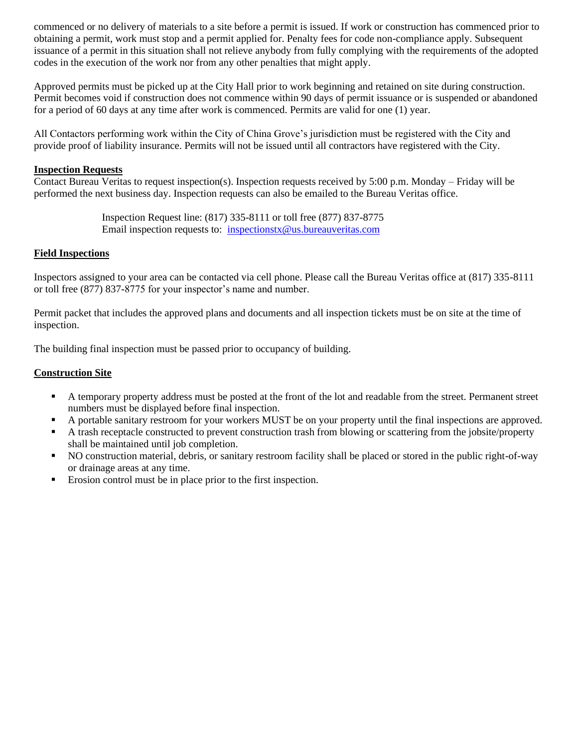commenced or no delivery of materials to a site before a permit is issued. If work or construction has commenced prior to obtaining a permit, work must stop and a permit applied for. Penalty fees for code non-compliance apply. Subsequent issuance of a permit in this situation shall not relieve anybody from fully complying with the requirements of the adopted codes in the execution of the work nor from any other penalties that might apply.

Approved permits must be picked up at the City Hall prior to work beginning and retained on site during construction. Permit becomes void if construction does not commence within 90 days of permit issuance or is suspended or abandoned for a period of 60 days at any time after work is commenced. Permits are valid for one (1) year.

All Contactors performing work within the City of China Grove's jurisdiction must be registered with the City and provide proof of liability insurance. Permits will not be issued until all contractors have registered with the City.

#### **Inspection Requests**

Contact Bureau Veritas to request inspection(s). Inspection requests received by 5:00 p.m. Monday – Friday will be performed the next business day. Inspection requests can also be emailed to the Bureau Veritas office.

> Inspection Request line: (817) 335-8111 or toll free (877) 837-8775 Email inspection requests to: [inspectionstx@us.bureauveritas.com](mailto:inspectionstx@us.bureauveritas.com)

#### **Field Inspections**

Inspectors assigned to your area can be contacted via cell phone. Please call the Bureau Veritas office at (817) 335-8111 or toll free (877) 837-8775 for your inspector's name and number.

Permit packet that includes the approved plans and documents and all inspection tickets must be on site at the time of inspection.

The building final inspection must be passed prior to occupancy of building.

#### **Construction Site**

- A temporary property address must be posted at the front of the lot and readable from the street. Permanent street numbers must be displayed before final inspection.
- A portable sanitary restroom for your workers MUST be on your property until the final inspections are approved.
- A trash receptacle constructed to prevent construction trash from blowing or scattering from the jobsite/property shall be maintained until job completion.
- NO construction material, debris, or sanitary restroom facility shall be placed or stored in the public right-of-way or drainage areas at any time.
- Erosion control must be in place prior to the first inspection.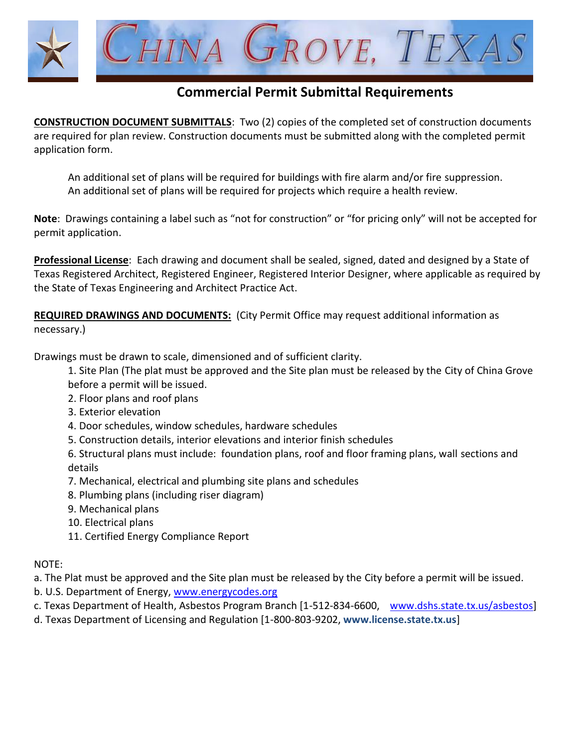

### **Commercial Permit Submittal Requirements**

**CONSTRUCTION DOCUMENT SUBMITTALS**: Two (2) copies of the completed set of construction documents are required for plan review. Construction documents must be submitted along with the completed permit application form.

An additional set of plans will be required for buildings with fire alarm and/or fire suppression. An additional set of plans will be required for projects which require a health review.

**Note**: Drawings containing a label such as "not for construction" or "for pricing only" will not be accepted for permit application.

**Professional License**: Each drawing and document shall be sealed, signed, dated and designed by a State of Texas Registered Architect, Registered Engineer, Registered Interior Designer, where applicable as required by the State of Texas Engineering and Architect Practice Act.

**REQUIRED DRAWINGS AND DOCUMENTS:** (City Permit Office may request additional information as necessary.)

Drawings must be drawn to scale, dimensioned and of sufficient clarity.

1. Site Plan (The plat must be approved and the Site plan must be released by the City of China Grove before a permit will be issued.

- 2. Floor plans and roof plans
- 3. Exterior elevation
- 4. Door schedules, window schedules, hardware schedules
- 5. Construction details, interior elevations and interior finish schedules

6. Structural plans must include: foundation plans, roof and floor framing plans, wall sections and details

- 7. Mechanical, electrical and plumbing site plans and schedules
- 8. Plumbing plans (including riser diagram)
- 9. Mechanical plans
- 10. Electrical plans
- 11. Certified Energy Compliance Report

NOTE:

- a. The Plat must be approved and the Site plan must be released by the City before a permit will be issued.
- b. U.S. Department of Energy, [www.energycodes.org](http://www.energycodes.org/)
- c. Texas Department of Health, Asbestos Program Branch [1-512-834-6600, [www.dshs.state.tx.us/asbestos\]](http://www.dshs.state.tx.us/asbestos)
- d. Texas Department of Licensing and Regulation [1-800-803-9202, **www.license.state.tx.us**]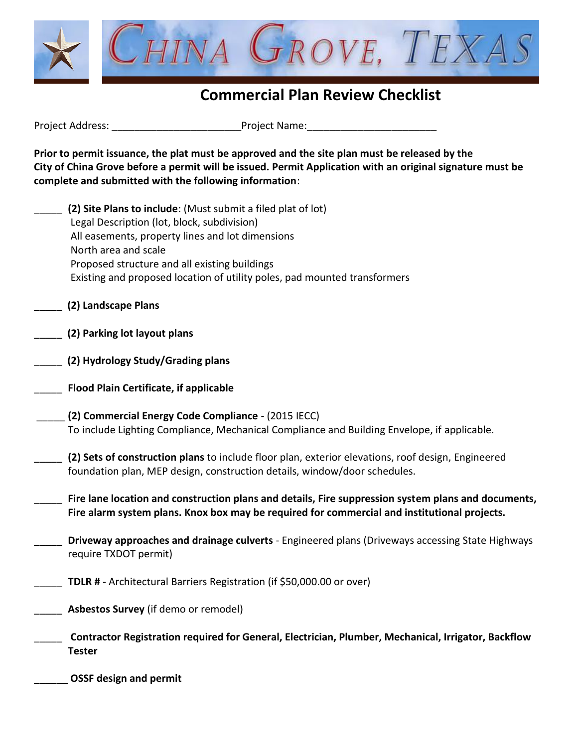

## **Commercial Plan Review Checklist**

Project Address: \_\_\_\_\_\_\_\_\_\_\_\_\_\_\_\_\_\_\_\_\_\_\_Project Name:\_\_\_\_\_\_\_\_\_\_\_\_\_\_\_\_\_\_\_\_\_\_\_

\_\_\_\_\_\_ **OSSF design and permit**

**Prior to permit issuance, the plat must be approved and the site plan must be released by the City of China Grove before a permit will be issued. Permit Application with an original signature must be complete and submitted with the following information**:

| (2) Site Plans to include: (Must submit a filed plat of lot)                                                                                                                                        |
|-----------------------------------------------------------------------------------------------------------------------------------------------------------------------------------------------------|
| Legal Description (lot, block, subdivision)                                                                                                                                                         |
| All easements, property lines and lot dimensions                                                                                                                                                    |
| North area and scale                                                                                                                                                                                |
| Proposed structure and all existing buildings                                                                                                                                                       |
| Existing and proposed location of utility poles, pad mounted transformers                                                                                                                           |
| (2) Landscape Plans                                                                                                                                                                                 |
| (2) Parking lot layout plans                                                                                                                                                                        |
| (2) Hydrology Study/Grading plans                                                                                                                                                                   |
| <b>Flood Plain Certificate, if applicable</b>                                                                                                                                                       |
| (2) Commercial Energy Code Compliance - (2015 IECC)                                                                                                                                                 |
| To include Lighting Compliance, Mechanical Compliance and Building Envelope, if applicable.                                                                                                         |
| (2) Sets of construction plans to include floor plan, exterior elevations, roof design, Engineered<br>foundation plan, MEP design, construction details, window/door schedules.                     |
|                                                                                                                                                                                                     |
| Fire lane location and construction plans and details, Fire suppression system plans and documents,<br>Fire alarm system plans. Knox box may be required for commercial and institutional projects. |
| Driveway approaches and drainage culverts - Engineered plans (Driveways accessing State Highways                                                                                                    |
| require TXDOT permit)                                                                                                                                                                               |
| TDLR # - Architectural Barriers Registration (if \$50,000.00 or over)                                                                                                                               |
| Asbestos Survey (if demo or remodel)                                                                                                                                                                |
| Contractor Registration required for General, Electrician, Plumber, Mechanical, Irrigator, Backflow<br><b>Tester</b>                                                                                |
|                                                                                                                                                                                                     |